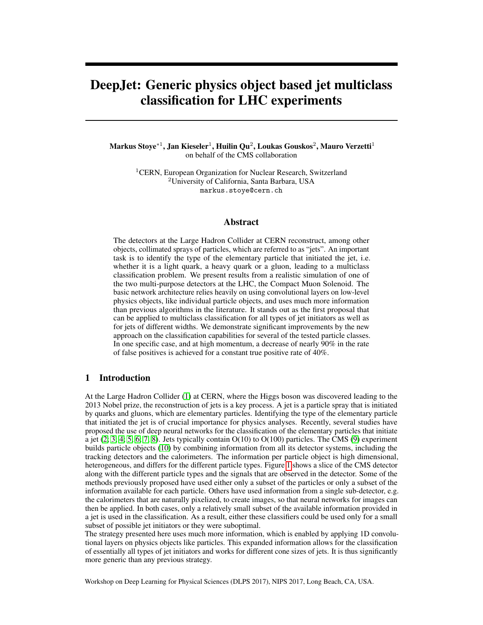# DeepJet: Generic physics object based jet multiclass classification for LHC experiments

Markus Stoye\* $^1$ , Jan Kieseler $^1$ , Huilin Qu $^2$ , Loukas Gouskos $^2$ , Mauro Verzetti $^1$ on behalf of the CMS collaboration

<sup>1</sup>CERN, European Organization for Nuclear Research, Switzerland <sup>2</sup>University of California, Santa Barbara, USA markus.stoye@cern.ch

### Abstract

The detectors at the Large Hadron Collider at CERN reconstruct, among other objects, collimated sprays of particles, which are referred to as "jets". An important task is to identify the type of the elementary particle that initiated the jet, i.e. whether it is a light quark, a heavy quark or a gluon, leading to a multiclass classification problem. We present results from a realistic simulation of one of the two multi-purpose detectors at the LHC, the Compact Muon Solenoid. The basic network architecture relies heavily on using convolutional layers on low-level physics objects, like individual particle objects, and uses much more information than previous algorithms in the literature. It stands out as the first proposal that can be applied to multiclass classification for all types of jet initiators as well as for jets of different widths. We demonstrate significant improvements by the new approach on the classification capabilities for several of the tested particle classes. In one specific case, and at high momentum, a decrease of nearly 90% in the rate of false positives is achieved for a constant true positive rate of 40%.

## 1 Introduction

At the Large Hadron Collider [\(1\)](#page-4-0) at CERN, where the Higgs boson was discovered leading to the 2013 Nobel prize, the reconstruction of jets is a key process. A jet is a particle spray that is initiated by quarks and gluons, which are elementary particles. Identifying the type of the elementary particle that initiated the jet is of crucial importance for physics analyses. Recently, several studies have proposed the use of deep neural networks for the classification of the elementary particles that initiate a jet  $(2; 3; 4; 5; 6; 7; 8)$  $(2; 3; 4; 5; 6; 7; 8)$  $(2; 3; 4; 5; 6; 7; 8)$  $(2; 3; 4; 5; 6; 7; 8)$  $(2; 3; 4; 5; 6; 7; 8)$  $(2; 3; 4; 5; 6; 7; 8)$  $(2; 3; 4; 5; 6; 7; 8)$  $(2; 3; 4; 5; 6; 7; 8)$  $(2; 3; 4; 5; 6; 7; 8)$  $(2; 3; 4; 5; 6; 7; 8)$  $(2; 3; 4; 5; 6; 7; 8)$  $(2; 3; 4; 5; 6; 7; 8)$  $(2; 3; 4; 5; 6; 7; 8)$ . Jets typically contain  $O(10)$  to  $O(100)$  particles. The CMS [\(9\)](#page-4-8) experiment builds particle objects [\(10\)](#page-4-9) by combining information from all its detector systems, including the tracking detectors and the calorimeters. The information per particle object is high dimensional, heterogeneous, and differs for the different particle types. Figure [1](#page-1-0) shows a slice of the CMS detector along with the different particle types and the signals that are observed in the detector. Some of the methods previously proposed have used either only a subset of the particles or only a subset of the information available for each particle. Others have used information from a single sub-detector, e.g. the calorimeters that are naturally pixelized, to create images, so that neural networks for images can then be applied. In both cases, only a relatively small subset of the available information provided in a jet is used in the classification. As a result, either these classifiers could be used only for a small subset of possible jet initiators or they were suboptimal.

The strategy presented here uses much more information, which is enabled by applying 1D convolutional layers on physics objects like particles. This expanded information allows for the classification of essentially all types of jet initiators and works for different cone sizes of jets. It is thus significantly more generic than any previous strategy.

Workshop on Deep Learning for Physical Sciences (DLPS 2017), NIPS 2017, Long Beach, CA, USA.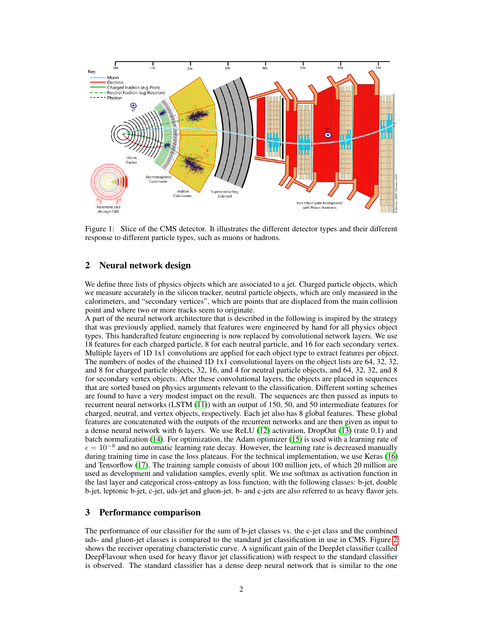

<span id="page-1-0"></span>Figure 1: Slice of the CMS detector. It illustrates the different detector types and their different response to different particle types, such as muons or hadrons.

### 2 Neural network design

We define three lists of physics objects which are associated to a jet. Charged particle objects, which we measure accurately in the silicon tracker, neutral particle objects, which are only measured in the calorimeters, and "secondary vertices", which are points that are displaced from the main collision point and where two or more tracks seem to originate.

A part of the neural network architecture that is described in the following is inspired by the strategy that was previously applied, namely that features were engineered by hand for all physics object types. This handcrafted feature engineering is now replaced by convolutional network layers. We use 18 features for each charged particle, 8 for each neutral particle, and 16 for each secondary vertex. Multiple layers of 1D 1x1 convolutions are applied for each object type to extract features per object. The numbers of nodes of the chained 1D 1x1 convolutional layers on the object lists are 64, 32, 32, and 8 for charged particle objects, 32, 16, and 4 for neutral particle objects, and 64, 32, 32, and 8 for secondary vertex objects. After these convolutional layers, the objects are placed in sequences that are sorted based on physics arguments relevant to the classification. Different sorting schemes are found to have a very modest impact on the result. The sequences are then passed as inputs to recurrent neural networks (LSTM [\(11\)](#page-4-10)) with an output of 150, 50, and 50 intermediate features for charged, neutral, and vertex objects, respectively. Each jet also has 8 global features. These global features are concatenated with the outputs of the recurrent networks and are then given as input to a dense neural network with 6 layers. We use ReLU [\(12\)](#page-4-11) activation, DropOut [\(13\)](#page-4-12) (rate 0.1) and batch normalization [\(14\)](#page-4-13). For optimization, the Adam optimizer [\(15\)](#page-4-14) is used with a learning rate of  $\epsilon = 10^{-8}$  and no automatic learning rate decay. However, the learning rate is decreased manually during training time in case the loss plateaus. For the technical implementation, we use Keras [\(16\)](#page-4-15) and Tensorflow [\(17\)](#page-4-16). The training sample consists of about 100 million jets, of which 20 million are used as development and validation samples, evenly split. We use softmax as activation function in the last layer and categorical cross-entropy as loss function, with the following classes: b-jet, double b-jet, leptonic b-jet, c-jet, uds-jet and gluon-jet. b- and c-jets are also referred to as heavy flavor jets.

#### 3 Performance comparison

The performance of our classifier for the sum of b-jet classes vs. the c-jet class and the combined uds- and gluon-jet classes is compared to the standard jet classification in use in CMS. Figure [2](#page-2-0) shows the receiver operating characteristic curve. A significant gain of the DeepJet classifier (called DeepFlavour when used for heavy flavor jet classification) with respect to the standard classifier is observed. The standard classifier has a dense deep neural network that is similar to the one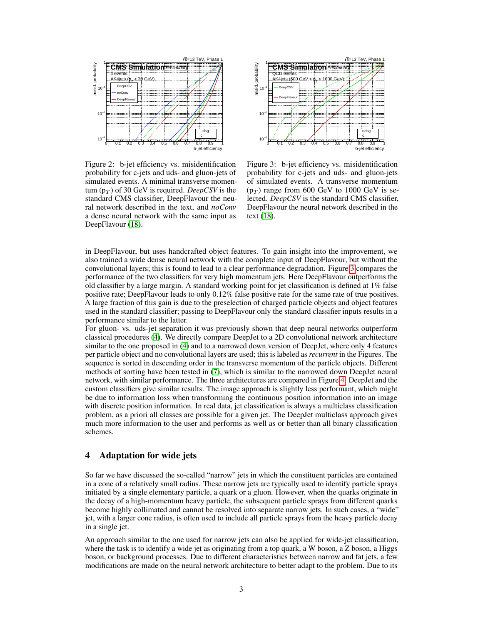

<span id="page-2-0"></span>Figure 2: b-jet efficiency vs. misidentification probability for c-jets and uds- and gluon-jets of simulated events. A minimal transverse momentum  $(p_T)$  of 30 GeV is required. *DeepCSV* is the standard CMS classifier, DeepFlavour the neural network described in the text, and *noConv* a dense neural network with the same input as DeepFlavour [\(18\)](#page-4-17).



<span id="page-2-1"></span>Figure 3: b-jet efficiency vs. misidentification probability for c-jets and uds- and gluon-jets of simulated events. A transverse momentum  $(p_T)$  range from 600 GeV to 1000 GeV is selected. *DeepCSV* is the standard CMS classifier, DeepFlavour the neural network described in the text [\(18\)](#page-4-17).

in DeepFlavour, but uses handcrafted object features. To gain insight into the improvement, we also trained a wide dense neural network with the complete input of DeepFlavour, but without the convolutional layers; this is found to lead to a clear performance degradation. Figure [3](#page-2-1) compares the performance of the two classifiers for very high momentum jets. Here DeepFlavour outperforms the old classifier by a large margin. A standard working point for jet classification is defined at 1% false positive rate; DeepFlavour leads to only 0.12% false positive rate for the same rate of true positives. A large fraction of this gain is due to the preselection of charged particle objects and object features used in the standard classifier; passing to DeepFlavour only the standard classifier inputs results in a performance similar to the latter.

For gluon- vs. uds-jet separation it was previously shown that deep neural networks outperform classical procedures [\(4\)](#page-4-3). We directly compare DeepJet to a 2D convolutional network architecture similar to the one proposed in [\(4\)](#page-4-3) and to a narrowed down version of DeepJet, where only 4 features per particle object and no convolutional layers are used; this is labeled as *recurrent* in the Figures. The sequence is sorted in descending order in the transverse momentum of the particle objects. Different methods of sorting have been tested in [\(7\)](#page-4-6), which is similar to the narrowed down DeepJet neural network, with similar performance. The three architectures are compared in Figure [4.](#page-3-0) DeepJet and the custom classifiers give similar results. The image approach is slightly less performant, which might be due to information loss when transforming the continuous position information into an image with discrete position information. In real data, jet classification is always a multiclass classification problem, as a priori all classes are possible for a given jet. The DeepJet multiclass approach gives much more information to the user and performs as well as or better than all binary classification schemes.

#### 4 Adaptation for wide jets

So far we have discussed the so-called "narrow" jets in which the constituent particles are contained in a cone of a relatively small radius. These narrow jets are typically used to identify particle sprays initiated by a single elementary particle, a quark or a gluon. However, when the quarks originate in the decay of a high-momentum heavy particle, the subsequent particle sprays from different quarks become highly collimated and cannot be resolved into separate narrow jets. In such cases, a "wide" jet, with a larger cone radius, is often used to include all particle sprays from the heavy particle decay in a single jet.

An approach similar to the one used for narrow jets can also be applied for wide-jet classification, where the task is to identify a wide jet as originating from a top quark, a W boson, a Z boson, a Higgs boson, or background processes. Due to different characteristics between narrow and fat jets, a few modifications are made on the neural network architecture to better adapt to the problem. Due to its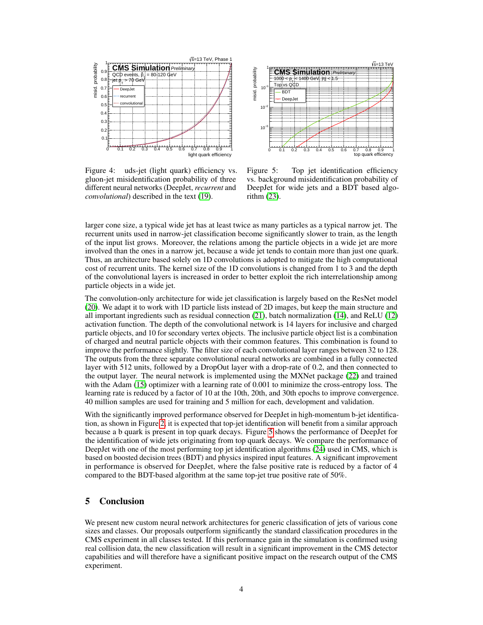

<span id="page-3-0"></span>Figure 4: uds-jet (light quark) efficiency vs. gluon-jet misidentification probability of three different neural networks (DeepJet, *recurrent* and *convolutional*) described in the text [\(19\)](#page-4-18).

<span id="page-3-1"></span>Figure 5: Top jet identification efficiency vs. background misidentification probability of DeepJet for wide jets and a BDT based algorithm [\(23\)](#page-4-19).

larger cone size, a typical wide jet has at least twice as many particles as a typical narrow jet. The recurrent units used in narrow-jet classification become significantly slower to train, as the length of the input list grows. Moreover, the relations among the particle objects in a wide jet are more involved than the ones in a narrow jet, because a wide jet tends to contain more than just one quark. Thus, an architecture based solely on 1D convolutions is adopted to mitigate the high computational cost of recurrent units. The kernel size of the 1D convolutions is changed from 1 to 3 and the depth of the convolutional layers is increased in order to better exploit the rich interrelationship among particle objects in a wide jet.

The convolution-only architecture for wide jet classification is largely based on the ResNet model [\(20\)](#page-4-20). We adapt it to work with 1D particle lists instead of 2D images, but keep the main structure and all important ingredients such as residual connection [\(21\)](#page-4-21), batch normalization [\(14\)](#page-4-13), and ReLU [\(12\)](#page-4-11) activation function. The depth of the convolutional network is 14 layers for inclusive and charged particle objects, and 10 for secondary vertex objects. The inclusive particle object list is a combination of charged and neutral particle objects with their common features. This combination is found to improve the performance slightly. The filter size of each convolutional layer ranges between 32 to 128. The outputs from the three separate convolutional neural networks are combined in a fully connected layer with 512 units, followed by a DropOut layer with a drop-rate of 0.2, and then connected to the output layer. The neural network is implemented using the MXNet package [\(22\)](#page-4-22) and trained with the Adam [\(15\)](#page-4-14) optimizer with a learning rate of 0.001 to minimize the cross-entropy loss. The learning rate is reduced by a factor of 10 at the 10th, 20th, and 30th epochs to improve convergence. 40 million samples are used for training and 5 million for each, development and validation.

With the significantly improved performance observed for DeepJet in high-momentum b-jet identification, as shown in Figure [2,](#page-2-0) it is expected that top-jet identification will benefit from a similar approach because a b quark is present in top quark decays. Figure [5](#page-3-1) shows the performance of DeepJet for the identification of wide jets originating from top quark decays. We compare the performance of DeepJet with one of the most performing top jet identification algorithms [\(24\)](#page-4-23) used in CMS, which is based on boosted decision trees (BDT) and physics inspired input features. A significant improvement in performance is observed for DeepJet, where the false positive rate is reduced by a factor of 4 compared to the BDT-based algorithm at the same top-jet true positive rate of 50%.

## 5 Conclusion

We present new custom neural network architectures for generic classification of jets of various cone sizes and classes. Our proposals outperform significantly the standard classification procedures in the CMS experiment in all classes tested. If this performance gain in the simulation is confirmed using real collision data, the new classification will result in a significant improvement in the CMS detector capabilities and will therefore have a significant positive impact on the research output of the CMS experiment.